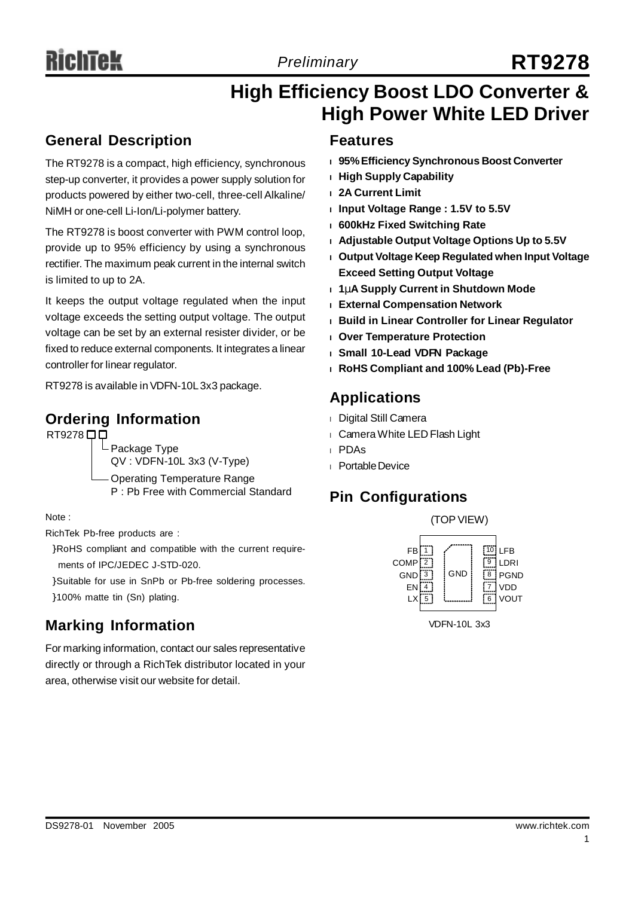# *Preliminary* **RT9278**

# **High Efficiency Boost LDO Converter & High Power White LED Driver**

### **General Description**

The RT9278 is a compact, high efficiency, synchronous step-up converter, it provides a power supply solution for products powered by either two-cell, three-cell Alkaline/ NiMH or one-cell Li-Ion/Li-polymer battery.

The RT9278 is boost converter with PWM control loop, provide up to 95% efficiency by using a synchronous rectifier. The maximum peak current in the internal switch is limited to up to 2A.

It keeps the output voltage regulated when the input voltage exceeds the setting output voltage. The output voltage can be set by an external resister divider, or be fixed to reduce external components. It integrates a linear controller for linear regulator.

RT9278 is available inVDFN-10L3x3 package.

### **Ordering Information**

RT9278<sup>DD</sup>

 $\mathsf{\mathsf{L}}$  Package Type QV : VDFN-10L 3x3 (V-Type)

Operating Temperature Range P : Pb Free with Commercial Standard

Note :

RichTek Pb-free products are :

- }RoHS compliant and compatible with the current requirements of IPC/JEDEC J-STD-020.
- }Suitable for use in SnPb or Pb-free soldering processes.

}100% matte tin (Sn) plating.

### **Marking Information research 2008 Marking Information**

For marking information, contact our sales representative directly or through a RichTek distributor located in your area, otherwise visit our website for detail.

### **Features**

- **<sup>l</sup> 95%Efficiency Synchronous Boost Converter**
- **<sup>l</sup> High Supply Capability**
- **<sup>l</sup> 2A Current Limit**
- **<sup>l</sup> Input Voltage Range : 1.5V to 5.5V**
- **<sup>l</sup> 600kHz Fixed Switching Rate**
- **<sup>l</sup> Adjustable Output Voltage Options Up to 5.5V**
- **<sup>l</sup> Output Voltage Keep Regulated when Input Voltage Exceed Setting Output Voltage**
- **<sup>l</sup> 1mA Supply Current in Shutdown Mode**
- **<sup>l</sup> External Compensation Network**
- **<sup>l</sup> Build in Linear Controller for Linear Regulator**
- **<sup>l</sup> Over Temperature Protection**
- **<sup>l</sup> Small 10-Lead VDFN Package**
- **<sup>l</sup> RoHS Compliant and 100% Lead (Pb)-Free**

# **Applications**

- <sup>l</sup> Digital Still Camera
- <sup>l</sup> Camera White LED Flash Light
- <sup>l</sup> PDAs
- **Portable Device**

# **Pin Configurations**

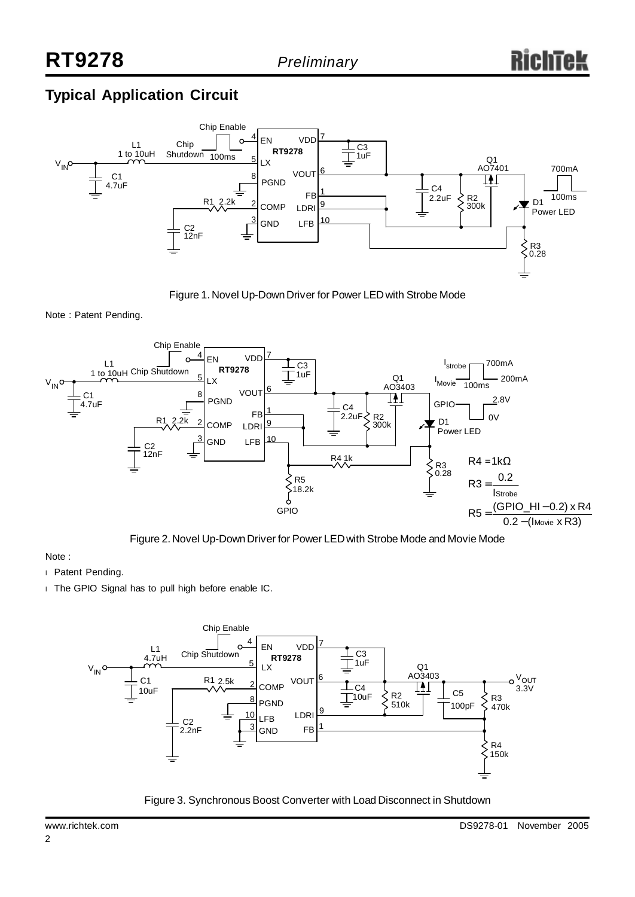# **Typical Application Circuit**



Figure 1. Novel Up-DownDriver for Power LEDwith Strobe Mode

Note : Patent Pending.



Figure 2. Novel Up-DownDriver for Power LEDwith Strobe Mode and Movie Mode

#### Note :

- <sup>l</sup> Patent Pending.
- <sup>l</sup> The GPIO Signal has to pull high before enable IC.



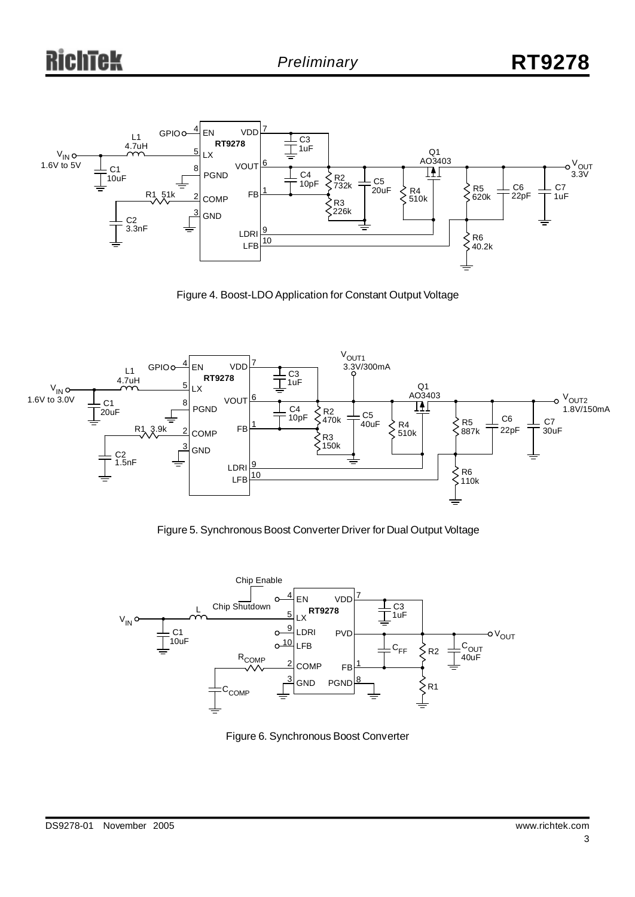

Figure 4. Boost-LDO Application for Constant Output Voltage



Figure 5. Synchronous Boost Converter Driver for Dual Output Voltage



Figure 6. Synchronous Boost Converter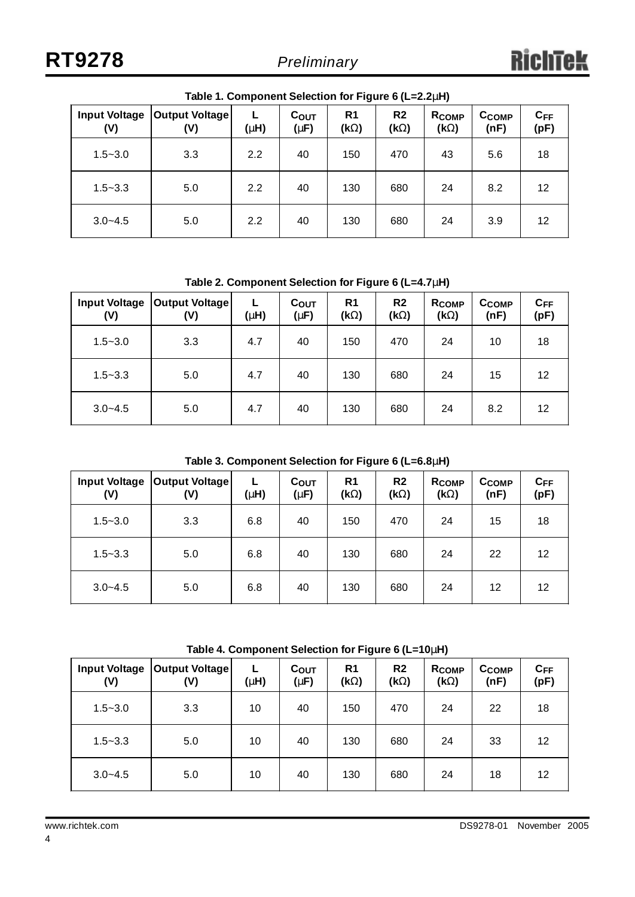| <b>Input Voltage</b><br>(V) | <b>Output Voltage</b><br>(V) | (M) | C <sub>OUT</sub><br>(mF) | R <sub>1</sub><br>(kW) | R <sub>2</sub><br>(kW) | R <sub>COMP</sub><br>(kW) | Ссомр<br>(nF) | $C_{FF}$<br>(pF) |
|-----------------------------|------------------------------|-----|--------------------------|------------------------|------------------------|---------------------------|---------------|------------------|
| $1.5 - 3.0$                 | 3.3                          | 2.2 | 40                       | 150                    | 470                    | 43                        | 5.6           | 18               |
| $1.5 - 3.3$                 | 5.0                          | 2.2 | 40                       | 130                    | 680                    | 24                        | 8.2           | 12               |
| $3.0 - 4.5$                 | 5.0                          | 2.2 | 40                       | 130                    | 680                    | 24                        | 3.9           | 12               |

**Table 1. Component Selection for Figure 6 (L=2.2mH)**

**Table 2. Component Selection for Figure 6 (L=4.7mH)**

| <b>Input Voltage</b><br>(V) | <b>Output Voltage</b><br>(V) | L.<br>(mH) | C <sub>OUT</sub><br>(mF) | R <sub>1</sub><br>(kW) | R <sub>2</sub><br>(kW) | <b>RCOMP</b><br>(kW) | <b>CCOMP</b><br>(nF) | $C_{FF}$<br>(pF) |
|-----------------------------|------------------------------|------------|--------------------------|------------------------|------------------------|----------------------|----------------------|------------------|
| $1.5 - 3.0$                 | 3.3                          | 4.7        | 40                       | 150                    | 470                    | 24                   | 10                   | 18               |
| $1.5 - 3.3$                 | 5.0                          | 4.7        | 40                       | 130                    | 680                    | 24                   | 15                   | 12               |
| $3.0 - 4.5$                 | 5.0                          | 4.7        | 40                       | 130                    | 680                    | 24                   | 8.2                  | 12               |

**Table 3. Component Selection for Figure 6 (L=6.8mH)**

| (V)         | Input Voltage   Output Voltage<br>(V) | (mH) | $C_{OUT}$<br>(mF) | R <sub>1</sub><br>(kW) | R <sub>2</sub><br>(kW) | R <sub>COMP</sub><br>(kW) | CCOMP<br>(nF) | $C_{FF}$<br>(pF) |
|-------------|---------------------------------------|------|-------------------|------------------------|------------------------|---------------------------|---------------|------------------|
| $1.5 - 3.0$ | 3.3                                   | 6.8  | 40                | 150                    | 470                    | 24                        | 15            | 18               |
| $1.5 - 3.3$ | 5.0                                   | 6.8  | 40                | 130                    | 680                    | 24                        | 22            | 12               |
| $3.0 - 4.5$ | 5.0                                   | 6.8  | 40                | 130                    | 680                    | 24                        | 12            | 12               |

**Table 4. Component Selection for Figure 6 (L=10mH)**

| <b>Input Voltage</b><br>(V) | <b>Output Voltage</b><br>(V) | L<br>(mH) | C <sub>OUT</sub><br>(mF) | R <sub>1</sub><br>(kW) | R <sub>2</sub><br>(kW) | <b>RCOMP</b><br>(kW) | Ссомр<br>(nF) | $C_{FF}$<br>(pF) |
|-----------------------------|------------------------------|-----------|--------------------------|------------------------|------------------------|----------------------|---------------|------------------|
| $1.5 - 3.0$                 | 3.3                          | 10        | 40                       | 150                    | 470                    | 24                   | 22            | 18               |
| $1.5 - 3.3$                 | 5.0                          | 10        | 40                       | 130                    | 680                    | 24                   | 33            | 12               |
| $3.0 - 4.5$                 | 5.0                          | 10        | 40                       | 130                    | 680                    | 24                   | 18            | 12               |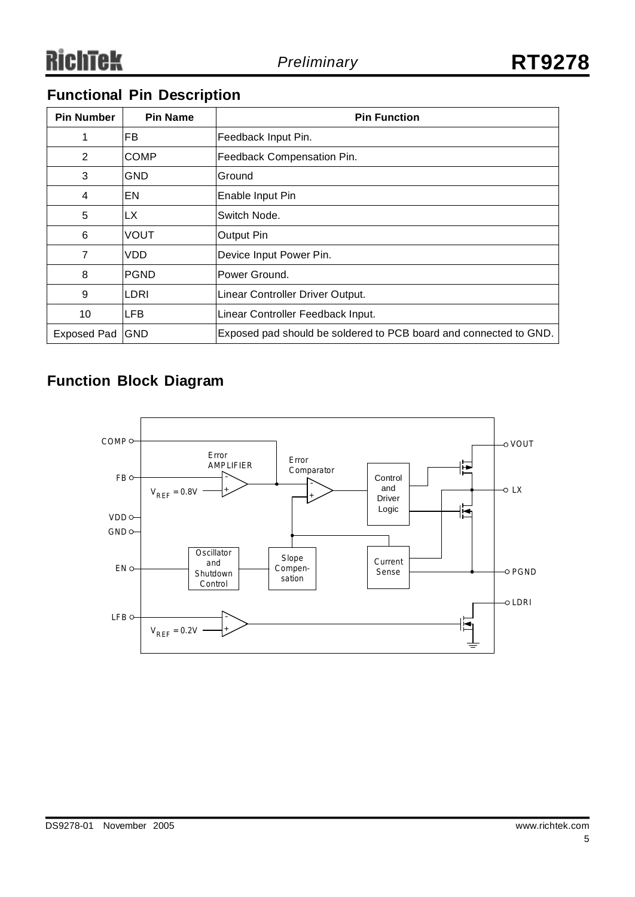# **Functional Pin Description**

| <b>Pin Number</b>  | <b>Pin Name</b> | <b>Pin Function</b>                                               |
|--------------------|-----------------|-------------------------------------------------------------------|
|                    | IFB.            | Feedback Input Pin.                                               |
| 2                  | <b>COMP</b>     | Feedback Compensation Pin.                                        |
| 3                  | GND             | Ground                                                            |
| 4                  | ΙEΝ             | Enable Input Pin                                                  |
| 5                  | LX              | Switch Node.                                                      |
| 6                  | <b>VOUT</b>     | <b>Output Pin</b>                                                 |
| 7                  | VDD             | Device Input Power Pin.                                           |
| 8                  | <b>PGND</b>     | Power Ground.                                                     |
| 9                  | LDRI            | Linear Controller Driver Output.                                  |
| 10                 | ILFB            | Linear Controller Feedback Input.                                 |
| <b>Exposed Pad</b> | GND             | Exposed pad should be soldered to PCB board and connected to GND. |

# **Function Block Diagram**

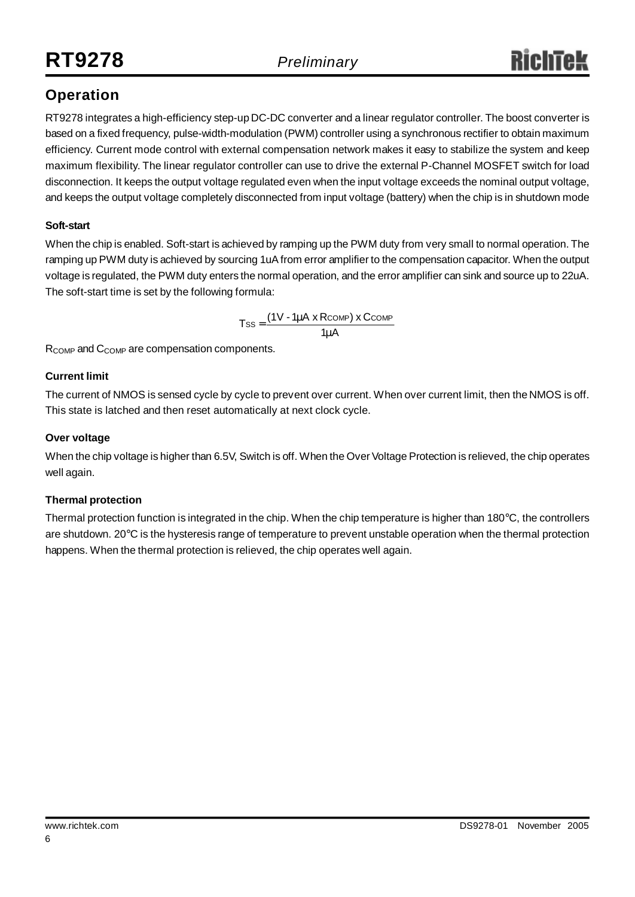# **Operation**

RT9278 integrates a high-efficiency step-up DC-DC converter and a linear regulator controller. The boost converter is based on a fixed frequency, pulse-width-modulation (PWM) controller using a synchronous rectifier to obtain maximum efficiency. Current mode control with external compensation network makes it easy to stabilize the system and keep maximum flexibility. The linear regulator controller can use to drive the external P-Channel MOSFET switch for load disconnection. It keeps the output voltage regulated even when the input voltage exceeds the nominal output voltage, and keeps the output voltage completely disconnected from input voltage (battery) when the chip is in shutdown mode

### **Soft-start**

When the chip is enabled. Soft-start is achieved by ramping up the PWM duty from very small to normal operation. The ramping up PWM duty is achieved by sourcing 1uAfrom error amplifier to the compensation capacitor. When the output voltage is regulated, the PWM duty enters the normal operation, and the error amplifier can sink and source up to 22uA. The soft-start time is set by the following formula:

$$
Tss = \frac{(1 \vee -1 m A \times R \text{COMP}) \times C \text{COMP}}{1 m A}
$$

R<sub>COMP</sub> and C<sub>COMP</sub> are compensation components.

### **Current limit**

The current of NMOS is sensed cycle by cycle to prevent over current. When over current limit, then the NMOS is off. This state is latched and then reset automatically at next clock cycle.

### **Over voltage**

When the chip voltage is higher than 6.5V, Switch is off. When the Over Voltage Protection is relieved, the chip operates well again.

### **Thermal protection**

Thermal protection function is integrated in the chip. When the chip temperature is higher than 180°C, the controllers are shutdown. 20°C is the hysteresis range of temperature to prevent unstable operation when the thermal protection happens. When the thermal protection is relieved, the chip operates well again.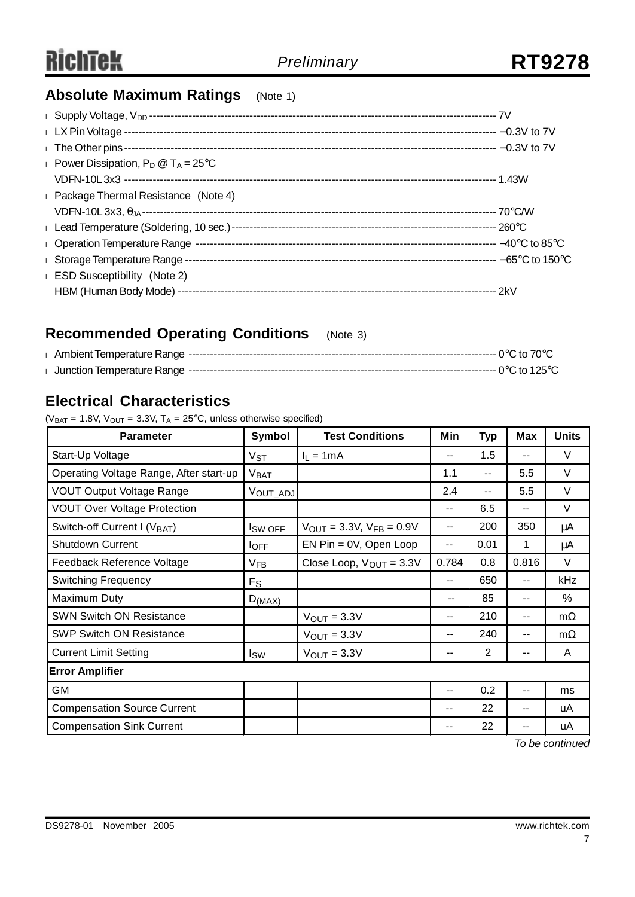# **Absolute Maximum Ratings** (Note 1)

| <b>Power Dissipation, P<sub>D</sub></b> $\omega$ T <sub>A</sub> = 25°C |  |
|------------------------------------------------------------------------|--|
|                                                                        |  |
| <b>Example 2</b> Package Thermal Resistance (Note 4)                   |  |
|                                                                        |  |
|                                                                        |  |
|                                                                        |  |
|                                                                        |  |
| <b>ESD Susceptibility</b> (Note 2)                                     |  |
|                                                                        |  |

# **Recommended Operating Conditions** (Note 3)

### **Electrical Characteristics**

( $V_{BAT} = 1.8V$ ,  $V_{OUT} = 3.3V$ ,  $T_A = 25°C$ , unless otherwise specified)

| <b>Parameter</b>                         | Symbol                | <b>Test Conditions</b>          | Min                      | <b>Typ</b>     | <b>Max</b> | <b>Units</b> |  |  |
|------------------------------------------|-----------------------|---------------------------------|--------------------------|----------------|------------|--------------|--|--|
| Start-Up Voltage                         | $V_{ST}$              | $I_L = 1mA$                     | $-$                      | 1.5            | $-$        | $\vee$       |  |  |
| Operating Voltage Range, After start-up  | V <sub>BAT</sub>      |                                 | 1.1                      | --             | 5.5        | $\vee$       |  |  |
| <b>VOUT Output Voltage Range</b>         | VOUT_ADJ              |                                 | 2.4                      | $- -$          | 5.5        | $\vee$       |  |  |
| <b>VOUT Over Voltage Protection</b>      |                       |                                 | --                       | 6.5            | --         | $\vee$       |  |  |
| Switch-off Current I (V <sub>BAT</sub> ) | I <sub>SW OFF</sub>   | $V_{OUT} = 3.3V, V_{FB} = 0.9V$ | $-$                      | 200            | 350        | $\mu$ A      |  |  |
| <b>Shutdown Current</b>                  | $I_{\text{OFF}}$      | $EN Pin = 0V$ , Open Loop       | --                       | 0.01           | 1          | μA           |  |  |
| Feedback Reference Voltage               | <b>V<sub>FB</sub></b> | Close Loop, $V_{OUT} = 3.3V$    | 0.784                    | 0.8            | 0.816      | $\vee$       |  |  |
| <b>Switching Frequency</b>               | <b>F<sub>S</sub></b>  |                                 | $-$                      | 650            | $- -$      | kHz          |  |  |
| Maximum Duty                             | $D_{(MAX)}$           |                                 | --                       | 85             | --         | $\%$         |  |  |
| <b>SWN Switch ON Resistance</b>          |                       | $V_{OUT} = 3.3V$                | $-$                      | 210            | $- -$      | $m\Omega$    |  |  |
| <b>SWP Switch ON Resistance</b>          |                       | $V_{\text{OUT}} = 3.3V$         | $-$                      | 240            | $- -$      | $m\Omega$    |  |  |
| <b>Current Limit Setting</b>             | <b>I</b> sw           | $V_{OUT} = 3.3V$                | $\overline{\phantom{m}}$ | $\overline{2}$ | $- -$      | A            |  |  |
| <b>Error Amplifier</b>                   |                       |                                 |                          |                |            |              |  |  |
| GM                                       |                       |                                 | $-$                      | 0.2            | $-$        | ms           |  |  |
| <b>Compensation Source Current</b>       |                       |                                 | --                       | 22             |            | uA           |  |  |
| <b>Compensation Sink Current</b>         |                       |                                 | --                       | 22             |            | uA           |  |  |

*To be continued*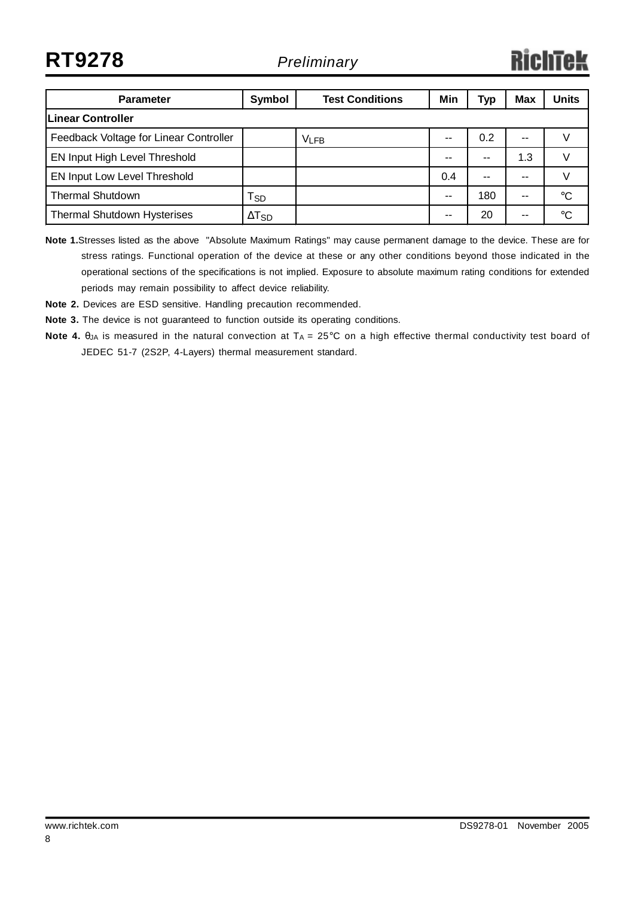**RT9278** *Preliminary*

# RichTek

| <b>Parameter</b>                       | Symbol          | <b>Test Conditions</b> | Min           | Тур           | <b>Max</b> | <b>Units</b> |  |  |
|----------------------------------------|-----------------|------------------------|---------------|---------------|------------|--------------|--|--|
| <b>Linear Controller</b>               |                 |                        |               |               |            |              |  |  |
| Feedback Voltage for Linear Controller |                 | <b>VLFB</b>            | $- -$         | 0.2           | $-$        |              |  |  |
| EN Input High Level Threshold          |                 |                        | $\sim$ $\sim$ | --            | 1.3        |              |  |  |
| EN Input Low Level Threshold           |                 |                        | 0.4           | $\sim$ $\sim$ | --         |              |  |  |
| <b>Thermal Shutdown</b>                | $T_{SD}$        |                        | $-$           | 180           | --         | °C           |  |  |
| <b>Thermal Shutdown Hysterises</b>     | $\Delta T_{SD}$ |                        | $- -$         | 20            | --         | °C           |  |  |

**Note 1.**Stresses listed as the above "Absolute Maximum Ratings" may cause permanent damage to the device. These are for stress ratings. Functional operation of the device at these or any other conditions beyond those indicated in the operational sections of the specifications is not implied. Exposure to absolute maximum rating conditions for extended periods may remain possibility to affect device reliability.

**Note 2.** Devices are ESD sensitive. Handling precaution recommended.

**Note 3.** The device is not guaranteed to function outside its operating conditions.

**Note 4.** θ<sub>JA</sub> is measured in the natural convection at T<sub>A</sub> = 25°C on a high effective thermal conductivity test board of JEDEC 51-7 (2S2P, 4-Layers) thermal measurement standard.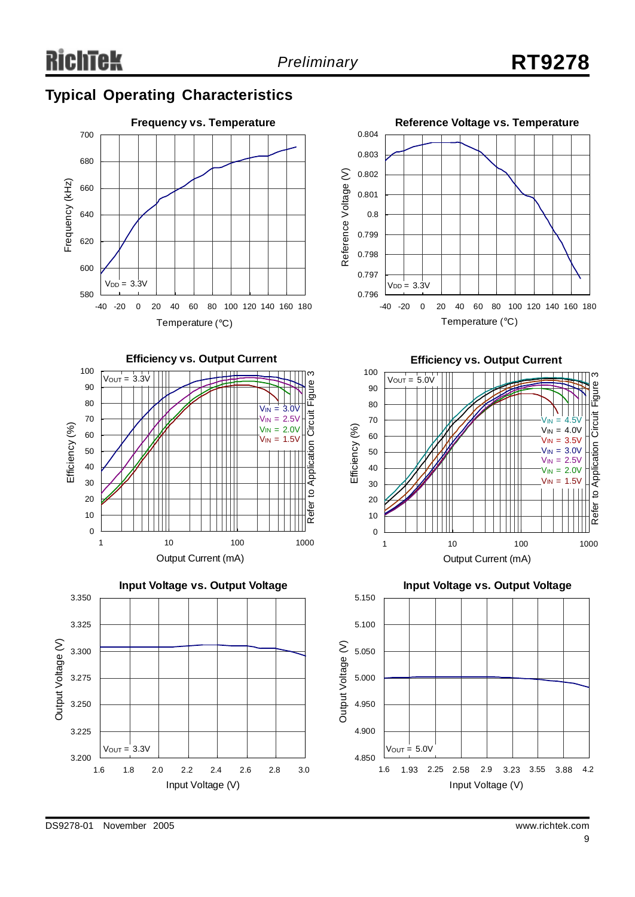# **Typical Operating Characteristics**











**Efficiency vs. Output Current**



**Input Voltage vs. Output Voltage** 5.150 5.100 Output Voltage (V) Output Voltage (V) 5.050 5.000 4.950 4.900  $V_{\text{OUT}} = 5.0V$ 4.850 1.6 1.93 2.25 2.58 2.9 3.23 3.55 3.88 4.2 Input Voltage (V)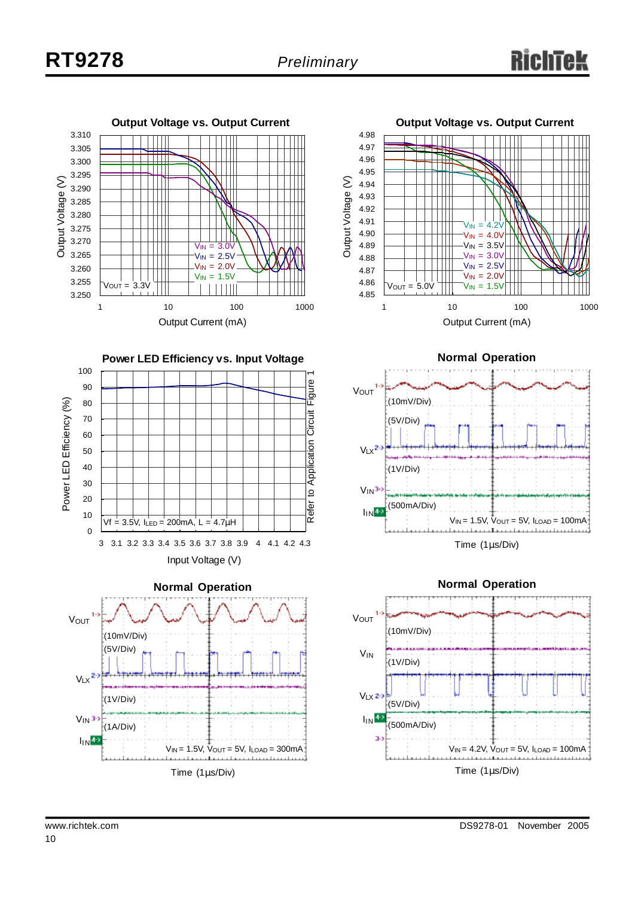







**Normal Operation**



Time (1μs/Div)



Power LE D

Efficiency (%)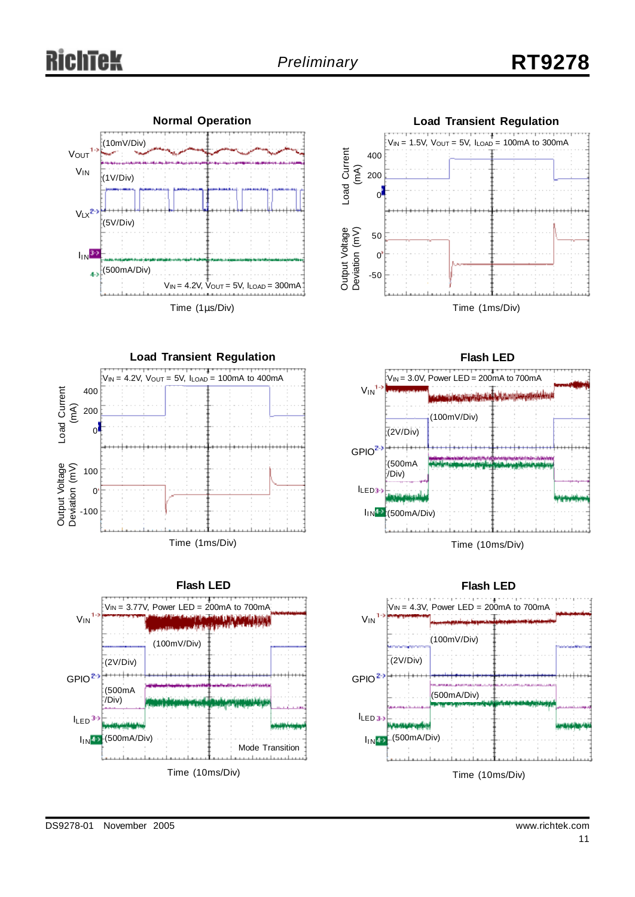



 $V_{IN} = 4.2V$ ,  $V_{OUT} = 5V$ ,  $I_{LOAD} = 100mA$  to 400mA **Load Transient Regulation** Time (1ms/Div) Load Current .<br>ا A) Output Voltage Deviation (m  $\varsigma$ 400 200 0 100  $\overline{0}$ -100







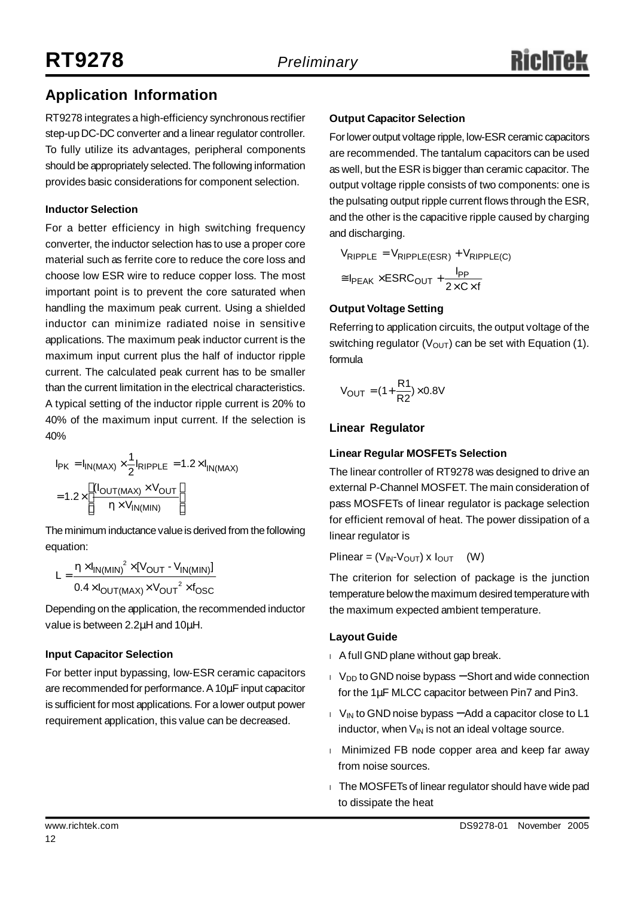# **Application Information**

RT9278 integrates a high-efficiency synchronous rectifier step-up DC-DC converter and a linear regulator controller. To fully utilize its advantages, peripheral components should be appropriately selected.The following information provides basic considerations for component selection.

### **Inductor Selection**

For a better efficiency in high switching frequency converter, the inductor selection has to use a proper core material such as ferrite core to reduce the core loss and choose low ESR wire to reduce copper loss. The most important point is to prevent the core saturated when handling the maximum peak current. Using a shielded inductor can minimize radiated noise in sensitive applications. The maximum peak inductor current is the maximum input current plus the half of inductor ripple current. The calculated peak current has to be smaller than the current limitation in the electrical characteristics. A typical setting of the inductor ripple current is 20% to 40% of the maximum input current. If the selection is 40%

$$
I_{PK} = I_{IN(MAX)} \times \frac{1}{2} I_{RIPPLE} = 1.2 \times I_{IN(MAX)}
$$

$$
= 1.2 \times \left[ \frac{(I_{OUT(MAX)} \times V_{OUT}}{h \times V_{IN(MIN)}} \right]
$$

The minimum inductance value is derived from the following equation:

$$
L = \frac{h \times I_{IN(MIN)}^{2} \times [V_{OUT} - V_{IN(MIN)}]}{0.4 \times I_{OUT(MAX)} \times V_{OUT}^{2} \times f_{OSC}}
$$

Depending on the application, the recommended inductor value is between 2.2μH and 10μH.

### **Input Capacitor Selection**

For better input bypassing, low-ESR ceramic capacitors are recommended for performance.A10μF input capacitor is sufficient for most applications. For a lower output power requirement application, this value can be decreased.

### **Output Capacitor Selection**

Forlower output voltage ripple, low-ESR ceramic capacitors are recommended. The tantalum capacitors can be used as well, but the ESR is bigger than ceramic capacitor. The output voltage ripple consists of two components: one is the pulsating output ripple current flows through the ESR, and the other is the capacitive ripple caused by charging and discharging.

$$
V_{RIPPLE} = V_{RIPPLE(ESR)} + V_{RIPPLE(C)}
$$
  
\n
$$
\approx I_{PEAK} \times ESRC_{OUT} + \frac{I_{PP}}{2 \times C \times f}
$$

#### **Output Voltage Setting**

Referring to application circuits, the output voltage of the switching regulator ( $V_{OUT}$ ) can be set with Equation (1). formula

$$
V_{OUT} = (1 + \frac{R1}{R2}) \times 0.8V
$$

### **Linear Regulator**

### **Linear Regular MOSFETs Selection**

The linear controller of RT9278 was designed to drive an external P-Channel MOSFET. The main consideration of pass MOSFETs of linear regulator is package selection for efficient removal of heat. The power dissipation of a linear regulator is

Plinear =  $(V_{IN}V_{OUT}) \times I_{OUT}$  (W)

The criterion for selection of package is the junction temperature belowthe maximum desired temperature with the maximum expected ambient temperature.

#### **Layout Guide**

- I A full GND plane without gap break.
- l V<sub>DD</sub> to GND noise bypass Short and wide connection for the 1μF MLCC capacitor between Pin7 and Pin3.
- I V<sub>IN</sub> to GND noise bypass Add a capacitor close to L1 inductor, when  $V_{IN}$  is not an ideal voltage source.
- I Minimized FB node copper area and keep far away from noise sources.
- <sup>l</sup>The MOSFETs of linear regulator should have wide pad to dissipate the heat